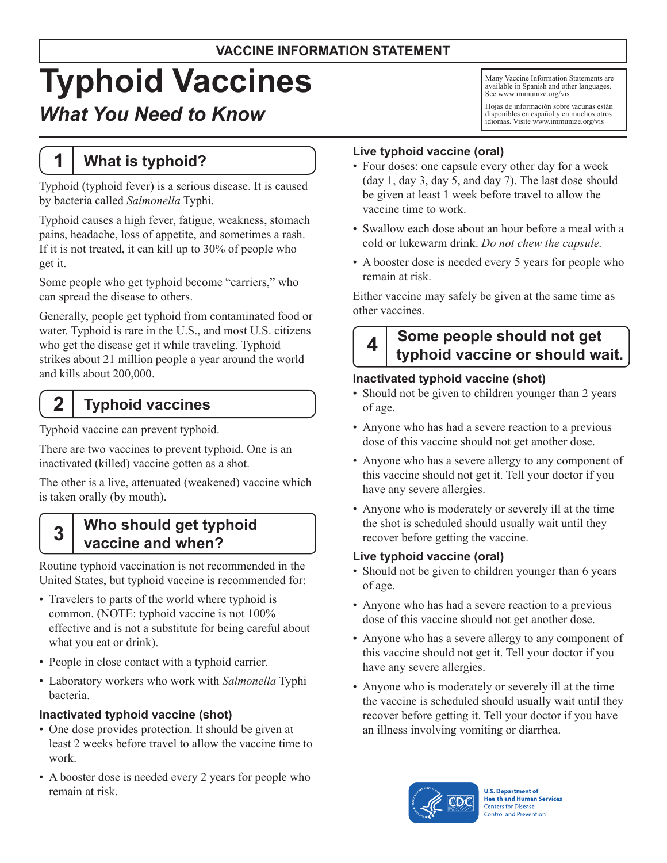### **VACCINE INFORMATION STATEMENT**

# **Typhoid Vaccines**

# *What You Need to Know*

# **1 What is typhoid?**

Typhoid (typhoid fever) is a serious disease. It is caused by bacteria called *Salmonella* Typhi.

Typhoid causes a high fever, fatigue, weakness, stomach pains, headache, loss of appetite, and sometimes a rash. If it is not treated, it can kill up to 30% of people who get it.

Some people who get typhoid become "carriers," who can spread the disease to others.

Generally, people get typhoid from contaminated food or water. Typhoid is rare in the U.S., and most U.S. citizens who get the disease get it while traveling. Typhoid strikes about 21 million people a year around the world and kills about 200,000.

# **2 Typhoid vaccines**

Typhoid vaccine can prevent typhoid.

There are two vaccines to prevent typhoid. One is an inactivated (killed) vaccine gotten as a shot.

The other is a live, attenuated (weakened) vaccine which is taken orally (by mouth).

### **3 Who should get typhoid vaccine and when?**

Routine typhoid vaccination is not recommended in the United States, but typhoid vaccine is recommended for:

- Travelers to parts of the world where typhoid is common. (NOTE: typhoid vaccine is not 100% effective and is not a substitute for being careful about what you eat or drink).
- People in close contact with a typhoid carrier.
- • Laboratory workers who work with *Salmonella* Typhi bacteria.

#### **Inactivated typhoid vaccine (shot)**

- One dose provides protection. It should be given at least 2 weeks before travel to allow the vaccine time to work.
- A booster dose is needed every 2 years for people who remain at risk.

Many Vaccine Information Statements are available in Spanish and other languages. See [www.immunize.org/vis](http://www.immunize.org/vis)

Hojas de información sobre vacunas están disponibles en español y en muchos otros idiomas. Visite [www.immunize.org/vis](http://www.immunize.org/vis)

#### **Live typhoid vaccine (oral)**

- Four doses: one capsule every other day for a week (day 1, day 3, day 5, and day 7). The last dose should be given at least 1 week before travel to allow the vaccine time to work.
- Swallow each dose about an hour before a meal with a cold or lukewarm drink. *Do not chew the capsule.*
- A booster dose is needed every 5 years for people who remain at risk.

Either vaccine may safely be given at the same time as other vaccines.

# **4 Some people should not get typhoid vaccine or should wait.**

#### **Inactivated typhoid vaccine (shot)**

- Should not be given to children younger than 2 years of age.
- Anyone who has had a severe reaction to a previous dose of this vaccine should not get another dose.
- Anyone who has a severe allergy to any component of this vaccine should not get it. Tell your doctor if you have any severe allergies.
- Anyone who is moderately or severely ill at the time the shot is scheduled should usually wait until they recover before getting the vaccine.

#### **Live typhoid vaccine (oral)**

- Should not be given to children younger than 6 years of age.
- Anyone who has had a severe reaction to a previous dose of this vaccine should not get another dose.
- Anyone who has a severe allergy to any component of this vaccine should not get it. Tell your doctor if you have any severe allergies.
- Anyone who is moderately or severely ill at the time the vaccine is scheduled should usually wait until they recover before getting it. Tell your doctor if you have an illness involving vomiting or diarrhea.